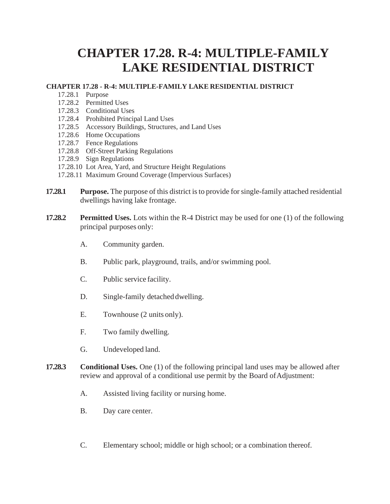## **CHAPTER 17.28. R-4: MULTIPLE-FAMILY LAKE RESIDENTIAL DISTRICT**

## **CHAPTER 17.28 - R-4: MULTIPLE-FAMILY LAKE RESIDENTIAL DISTRICT**

- 17.28.1 Purpose
- 17.28.2 Permitted Uses
- 17.28.3 Conditional Uses
- 17.28.4 Prohibited Principal Land Uses
- 17.28.5 Accessory Buildings, Structures, and Land Uses
- 17.28.6 Home Occupations
- 17.28.7 Fence Regulations
- 17.28.8 Off-Street Parking Regulations
- 17.28.9 Sign Regulations
- 17.28.10 Lot Area, Yard, and Structure Height Regulations
- 17.28.11 Maximum Ground Coverage (Impervious Surfaces)
- **17.28.1 Purpose.** The purpose of this district is to provide for single-family attached residential dwellings having lake frontage.
- **17.28.2 Permitted Uses.** Lots within the R-4 District may be used for one (1) of the following principal purposes only:
	- A. Community garden.
	- B. Public park, playground, trails, and/or swimming pool.
	- C. Public service facility.
	- D. Single-family detached dwelling.
	- E. Townhouse (2 units only).
	- F. Two family dwelling.
	- G. Undeveloped land.
- **17.28.3 Conditional Uses.** One (1) of the following principal land uses may be allowed after review and approval of a conditional use permit by the Board of Adjustment:
	- A. Assisted living facility or nursing home.
	- B. Day care center.
	- C. Elementary school; middle or high school; or a combination thereof.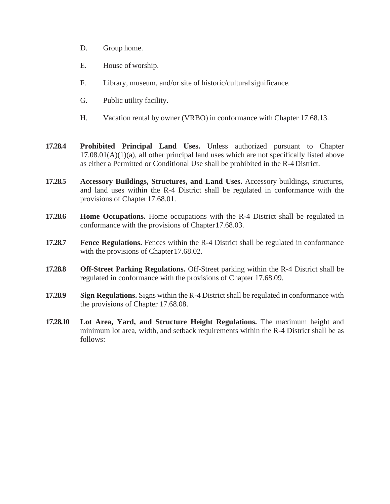- D. Group home.
- E. House of worship.
- F. Library, museum, and/or site of historic/culturalsignificance.
- G. Public utility facility.
- H. Vacation rental by owner (VRBO) in conformance with Chapter 17.68.13.
- **17.28.4 Prohibited Principal Land Uses.** Unless authorized pursuant to Chapter  $17.08.01(A)(1)(a)$ , all other principal land uses which are not specifically listed above as either a Permitted or Conditional Use shall be prohibited in the R-4 District.
- **17.28.5 Accessory Buildings, Structures, and Land Uses.** Accessory buildings, structures, and land uses within the R-4 District shall be regulated in conformance with the provisions of Chapter 17.68.01.
- **17.28.6 Home Occupations.** Home occupations with the R-4 District shall be regulated in conformance with the provisions of Chapter17.68.03.
- **17.28.7 Fence Regulations.** Fences within the R-4 District shall be regulated in conformance with the provisions of Chapter 17.68.02.
- **17.28.8 Off-Street Parking Regulations.** Off-Street parking within the R-4 District shall be regulated in conformance with the provisions of Chapter 17.68.09.
- **17.28.9 Sign Regulations.** Signs within the R-4 District shall be regulated in conformance with the provisions of Chapter 17.68.08.
- **17.28.10 Lot Area, Yard, and Structure Height Regulations.** The maximum height and minimum lot area, width, and setback requirements within the R-4 District shall be as follows: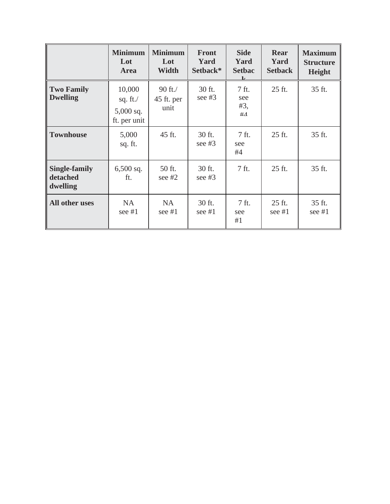|                                              | <b>Minimum</b><br>Lot<br><b>Area</b>                 | <b>Minimum</b><br>Lot<br><b>Width</b> | <b>Front</b><br>Yard<br>Setback* | <b>Side</b><br>Yard<br><b>Setbac</b><br>$\mathbf{r}$ | Rear<br>Yard<br><b>Setback</b> | <b>Maximum</b><br><b>Structure</b><br><b>Height</b> |
|----------------------------------------------|------------------------------------------------------|---------------------------------------|----------------------------------|------------------------------------------------------|--------------------------------|-----------------------------------------------------|
| <b>Two Family</b><br><b>Dwelling</b>         | 10,000<br>sq. ft. $/$<br>$5,000$ sq.<br>ft. per unit | 90 ft./<br>45 ft. per<br>unit         | 30 ft.<br>see $#3$               | 7 ft.<br>see<br>#3,<br>#4                            | 25 ft.                         | 35 ft.                                              |
| <b>Townhouse</b>                             | 5,000<br>sq. ft.                                     | 45 ft.                                | 30 ft.<br>see $#3$               | 7 ft.<br>see<br>#4                                   | 25 ft.                         | 35 ft.                                              |
| <b>Single-family</b><br>detached<br>dwelling | $6,500$ sq.<br>ft.                                   | 50 ft.<br>see $#2$                    | 30 ft.<br>see $#3$               | 7 ft.                                                | 25 ft.                         | 35 ft.                                              |
| All other uses                               | <b>NA</b><br>see $#1$                                | <b>NA</b><br>see $#1$                 | 30 ft.<br>see $#1$               | 7 ft.<br>see<br>#1                                   | 25 ft.<br>see $#1$             | 35 ft.<br>see $#1$                                  |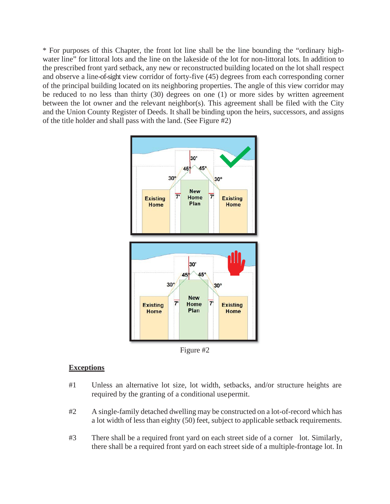\* For purposes of this Chapter, the front lot line shall be the line bounding the "ordinary highwater line" for littoral lots and the line on the lakeside of the lot for non-littoral lots. In addition to the prescribed front yard setback, any new or reconstructed building located on the lot shall respect and observe a line-of-sight view corridor of forty-five (45) degrees from each corresponding corner of the principal building located on its neighboring properties. The angle of this view corridor may be reduced to no less than thirty (30) degrees on one (1) or more sides by written agreement between the lot owner and the relevant neighbor(s). This agreement shall be filed with the City and the Union County Register of Deeds. It shall be binding upon the heirs, successors, and assigns of the title holder and shall pass with the land. (See Figure #2)



Figure #2

## **Exceptions**

- #1 Unless an alternative lot size, lot width, setbacks, and/or structure heights are required by the granting of a conditional usepermit.
- #2 A single-family detached dwelling may be constructed on a lot-of-record which has a lot width of less than eighty (50) feet, subject to applicable setback requirements.
- #3 There shall be a required front yard on each street side of a corner lot. Similarly, there shall be a required front yard on each street side of a multiple-frontage lot. In